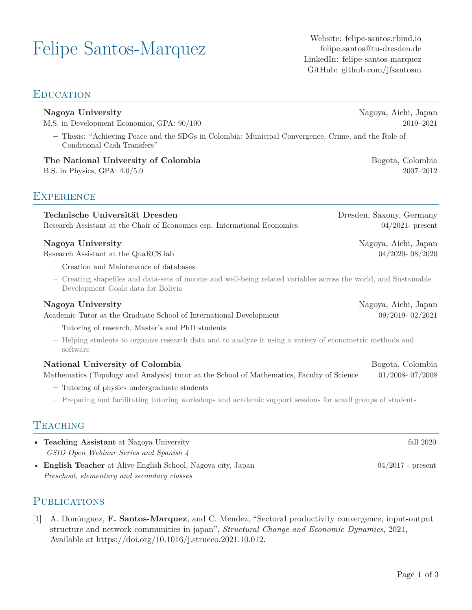# Felipe Santos-Marquez Website: [felipe-santos.rbind.io](https://felipe-santos.rbind.io/)

[felipe.santos@tu-dresden.de](mailto:felipe.santos@tu-dresden.de) LinkedIn: [felipe-santos-marquez](https://www.linkedin.com/in/felipe-santos-marquez/) GitHub: [github.com/jfsantosm](https://github.com/jfsantosm/)

| Nagoya University<br>M.S. in Development Economics, GPA: $90/100$                                                                                                                                                                                                                           | Nagoya, Aichi, Japan<br>2019-2021               |  |
|---------------------------------------------------------------------------------------------------------------------------------------------------------------------------------------------------------------------------------------------------------------------------------------------|-------------------------------------------------|--|
| - Thesis: "Achieving Peace and the SDGs in Colombia: Municipal Convergence, Crime, and the Role of<br>Conditional Cash Transfers"                                                                                                                                                           |                                                 |  |
| The National University of Colombia<br>B.S. in Physics, GPA: $4.0/5.0$                                                                                                                                                                                                                      | Bogota, Colombia<br>$2007 - 2012$               |  |
| <b>EXPERIENCE</b>                                                                                                                                                                                                                                                                           |                                                 |  |
| Technische Universität Dresden<br>Research Assistant at the Chair of Economics esp. International Economics                                                                                                                                                                                 | Dresden, Saxony, Germany<br>$04/2021$ - present |  |
| Nagoya University<br>Research Assistant at the QuaRCS lab                                                                                                                                                                                                                                   | Nagoya, Aichi, Japan<br>04/2020-08/2020         |  |
| - Creation and Maintenance of databases<br>- Creating shapefiles and data-sets of income and well-being related variables across the world, and Sustainable<br>Development Goals data for Bolivia                                                                                           |                                                 |  |
| Nagoya University<br>Academic Tutor at the Graduate School of International Development<br>- Tutoring of research, Master's and PhD students<br>- Helping students to organize research data and to analyze it using a variety of econometric methods and<br>software                       | Nagoya, Aichi, Japan<br>09/2019-02/2021         |  |
| National University of Colombia<br>Mathematics (Topology and Analysis) tutor at the School of Mathematics, Faculty of Science<br>- Tutoring of physics undergraduate students<br>- Preparing and facilitating tutoring workshops and academic support sessions for small groups of students | Bogota, Colombia<br>$01/2008 - 07/2008$         |  |
| <b>TEACHING</b>                                                                                                                                                                                                                                                                             |                                                 |  |
| • Teaching Assistant at Nagoya University<br>GSID Open Webinar Series and Spanish 4                                                                                                                                                                                                         | fall 2020                                       |  |
| • English Teacher at Alive English School, Nagoya city, Japan                                                                                                                                                                                                                               | $04/2017$ - present                             |  |

# **PUBLICATIONS**

*Preschool, elementary and secondary classes*

[1] A. Domı́nguez, **F. Santos-Marquez**, and C. Mendez, "Sectoral productivity convergence, input-output structure and network communities in japan", *Structural Change and Economic Dynamics*, 2021, Available at [https://doi.org/10.1016/j.strueco.2021.10.012.](https://doi.org/10.1016/j.strueco.2021.10.012)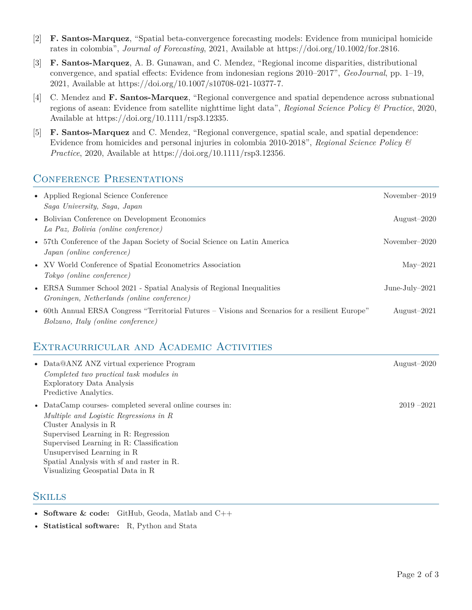- [2] **F. Santos-Marquez**, "Spatial beta-convergence forecasting models: Evidence from municipal homicide rates in colombia", *Journal of Forecasting*, 2021, Available at [https://doi.org/10.1002/for.2816.](https://doi.org/10.1002/for.2816)
- [3] **F. Santos-Marquez**, A. B. Gunawan, and C. Mendez, "Regional income disparities, distributional convergence, and spatial effects: Evidence from indonesian regions 2010–2017", *GeoJournal*, pp. 1–19, 2021, Available at [https://doi.org/10.1007/s10708-021-10377-7.](https://doi.org/10.1007/s10708-021-10377-7)
- [4] C. Mendez and **F. Santos-Marquez**, "Regional convergence and spatial dependence across subnational regions of asean: Evidence from satellite nighttime light data", *Regional Science Policy & Practice*, 2020, Available at [https://doi.org/10.1111/rsp3.12335.](https://doi.org/10.1111/rsp3.12335)
- [5] **F. Santos-Marquez** and C. Mendez, "Regional convergence, spatial scale, and spatial dependence: Evidence from homicides and personal injuries in colombia 2010-2018", *Regional Science Policy & Practice*, 2020, Available at <https://doi.org/10.1111/rsp3.12356>.

# CONFERENCE PRESENTATIONS

| • Applied Regional Science Conference<br>Saga University, Saga, Japan                                                                  | November-2019     |
|----------------------------------------------------------------------------------------------------------------------------------------|-------------------|
| • Bolivian Conference on Development Economics<br>La Paz, Bolivia (online conference)                                                  | August $-2020$    |
| • 57th Conference of the Japan Society of Social Science on Latin America<br>Japan (online conference)                                 | November $-2020$  |
| • XV World Conference of Spatial Econometrics Association<br>Tokyo (online conference)                                                 | $\text{Mav}-2021$ |
| • ERSA Summer School 2021 - Spatial Analysis of Regional Inequalities<br>Groningen, Netherlands (online conference)                    | June-July- $2021$ |
| • 60th Annual ERSA Congress "Territorial Futures – Visions and Scenarios for a resilient Europe"<br>Bolzano, Italy (online conference) | August $-2021$    |

# Extracurricular and Academic Activities

| • Data@ANZ ANZ virtual experience Program<br>Completed two practical task modules in<br>Exploratory Data Analysis<br>Predictive Analytics.                                                                                                                                                                                    | August $-2020$ |
|-------------------------------------------------------------------------------------------------------------------------------------------------------------------------------------------------------------------------------------------------------------------------------------------------------------------------------|----------------|
| • DataCamp courses completed several online courses in:<br>Multiple and Logistic Regressions in R<br>Cluster Analysis in R<br>Supervised Learning in R: Regression<br>Supervised Learning in R: Classification<br>Unsupervised Learning in R<br>Spatial Analysis with sf and raster in R.<br>Visualizing Geospatial Data in R | $2019 - 2021$  |

#### **SKILLS**

- **Software & code:** GitHub, Geoda, Matlab and C++
- **Statistical software:** R, Python and Stata